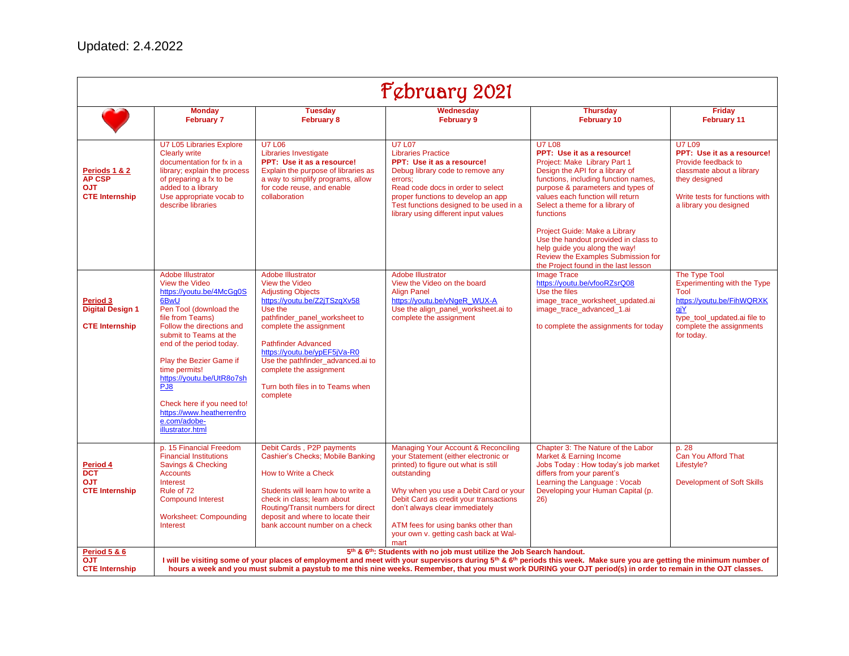| February 2021                                                         |                                                                                                                                                                                                                                                                                                                                                                                                |                                                                                                                                                                                                                                                                                                                                                             |                                                                                                                                                                                                                                                                                                                                                                                                                    |                                                                                                                                                                                                                                                                                 |                                                                                                                                                                              |
|-----------------------------------------------------------------------|------------------------------------------------------------------------------------------------------------------------------------------------------------------------------------------------------------------------------------------------------------------------------------------------------------------------------------------------------------------------------------------------|-------------------------------------------------------------------------------------------------------------------------------------------------------------------------------------------------------------------------------------------------------------------------------------------------------------------------------------------------------------|--------------------------------------------------------------------------------------------------------------------------------------------------------------------------------------------------------------------------------------------------------------------------------------------------------------------------------------------------------------------------------------------------------------------|---------------------------------------------------------------------------------------------------------------------------------------------------------------------------------------------------------------------------------------------------------------------------------|------------------------------------------------------------------------------------------------------------------------------------------------------------------------------|
|                                                                       | <b>Monday</b><br><b>February 7</b>                                                                                                                                                                                                                                                                                                                                                             | <b>Tuesday</b><br><b>February 8</b>                                                                                                                                                                                                                                                                                                                         | Wednesday<br><b>February 9</b>                                                                                                                                                                                                                                                                                                                                                                                     | <b>Thursday</b><br>February 10                                                                                                                                                                                                                                                  | <b>Friday</b><br><b>February 11</b>                                                                                                                                          |
| Periods 1 & 2<br><b>AP CSP</b><br><b>OJT</b><br><b>CTE Internship</b> | U7 L05 Libraries Explore<br><b>Clearly write</b><br>documentation for fx in a<br>library; explain the process<br>of preparing a fx to be<br>added to a library<br>Use appropriate vocab to<br>describe libraries                                                                                                                                                                               | <b>U7 L06</b><br>Libraries Investigate<br>PPT: Use it as a resource!<br>Explain the purpose of libraries as<br>a way to simplify programs, allow<br>for code reuse, and enable<br>collaboration                                                                                                                                                             | <b>U7 L07</b><br><b>Libraries Practice</b><br>PPT: Use it as a resource!<br>Debug library code to remove any<br>errors:<br>Read code docs in order to select<br>proper functions to develop an app<br>Test functions designed to be used in a<br>library using different input values                                                                                                                              | <b>U7 L08</b><br>PPT: Use it as a resource!<br>Project: Make Library Part 1<br>Design the API for a library of<br>functions, including function names,<br>purpose & parameters and types of<br>values each function will return<br>Select a theme for a library of<br>functions | <b>U7 L09</b><br>PPT: Use it as a resource!<br>Provide feedback to<br>classmate about a library<br>they designed<br>Write tests for functions with<br>a library you designed |
|                                                                       |                                                                                                                                                                                                                                                                                                                                                                                                |                                                                                                                                                                                                                                                                                                                                                             |                                                                                                                                                                                                                                                                                                                                                                                                                    | Project Guide: Make a Library<br>Use the handout provided in class to<br>help quide you along the way!<br>Review the Examples Submission for<br>the Project found in the last lesson                                                                                            |                                                                                                                                                                              |
| Period 3<br><b>Digital Design 1</b><br><b>CTE Internship</b>          | <b>Adobe Illustrator</b><br>View the Video<br>https://youtu.be/4McGq0S<br>6BwU<br>Pen Tool (download the<br>file from Teams)<br>Follow the directions and<br>submit to Teams at the<br>end of the period today.<br>Play the Bezier Game if<br>time permits!<br>https://youtu.be/UtR8o7sh<br>PJB<br>Check here if you need to!<br>https://www.heatherrenfro<br>e.com/adobe-<br>illustrator.html | <b>Adobe Illustrator</b><br>View the Video<br><b>Adjusting Objects</b><br>https://youtu.be/Z2jTSzqXv58<br>Use the<br>pathfinder panel worksheet to<br>complete the assignment<br><b>Pathfinder Advanced</b><br>https://youtu.be/ypEF5jVa-R0<br>Use the pathfinder_advanced.ai to<br>complete the assignment<br>Turn both files in to Teams when<br>complete | <b>Adobe Illustrator</b><br>View the Video on the board<br><b>Align Panel</b><br>https://youtu.be/vNgeR WUX-A<br>Use the align panel worksheet.ai to<br>complete the assignment                                                                                                                                                                                                                                    | <b>Image Trace</b><br>https://youtu.be/vfooRZsrQ08<br>Use the files<br>image_trace_worksheet_updated.ai<br>image_trace_advanced_1.ai<br>to complete the assignments for today                                                                                                   | The Type Tool<br><b>Experimenting with the Type</b><br>Tool<br>https://youtu.be/FihWQRXK<br>qiY<br>type tool updated.ai file to<br>complete the assignments<br>for today.    |
| Period 4<br><b>DCT</b><br><b>OJT</b><br><b>CTE Internship</b>         | p. 15 Financial Freedom<br><b>Financial Institutions</b><br>Savings & Checking<br><b>Accounts</b><br>Interest<br>Rule of 72<br><b>Compound Interest</b><br><b>Worksheet: Compounding</b><br>Interest                                                                                                                                                                                           | Debit Cards, P2P payments<br>Cashier's Checks; Mobile Banking<br>How to Write a Check<br>Students will learn how to write a<br>check in class: learn about<br>Routing/Transit numbers for direct<br>deposit and where to locate their<br>bank account number on a check                                                                                     | Managing Your Account & Reconciling<br>your Statement (either electronic or<br>printed) to figure out what is still<br>outstanding<br>Why when you use a Debit Card or your<br>Debit Card as credit your transactions<br>don't always clear immediately<br>ATM fees for using banks other than<br>your own v. getting cash back at Wal-<br>mart                                                                    | Chapter 3: The Nature of the Labor<br>Market & Earning Income<br>Jobs Today : How today's job market<br>differs from your parent's<br>Learning the Language: Vocab<br>Developing your Human Capital (p.<br>26)                                                                  | p. 28<br>Can You Afford That<br>Lifestyle?<br>Development of Soft Skills                                                                                                     |
| Period 5 & 6<br><b>OJT</b><br><b>CTE Internship</b>                   |                                                                                                                                                                                                                                                                                                                                                                                                |                                                                                                                                                                                                                                                                                                                                                             | 5th & 6th: Students with no job must utilize the Job Search handout.<br>I will be visiting some of your places of employment and meet with your supervisors during 5th & 6th periods this week. Make sure you are getting the minimum number of<br>hours a week and you must submit a paystub to me this nine weeks. Remember, that you must work DURING your OJT period(s) in order to remain in the OJT classes. |                                                                                                                                                                                                                                                                                 |                                                                                                                                                                              |